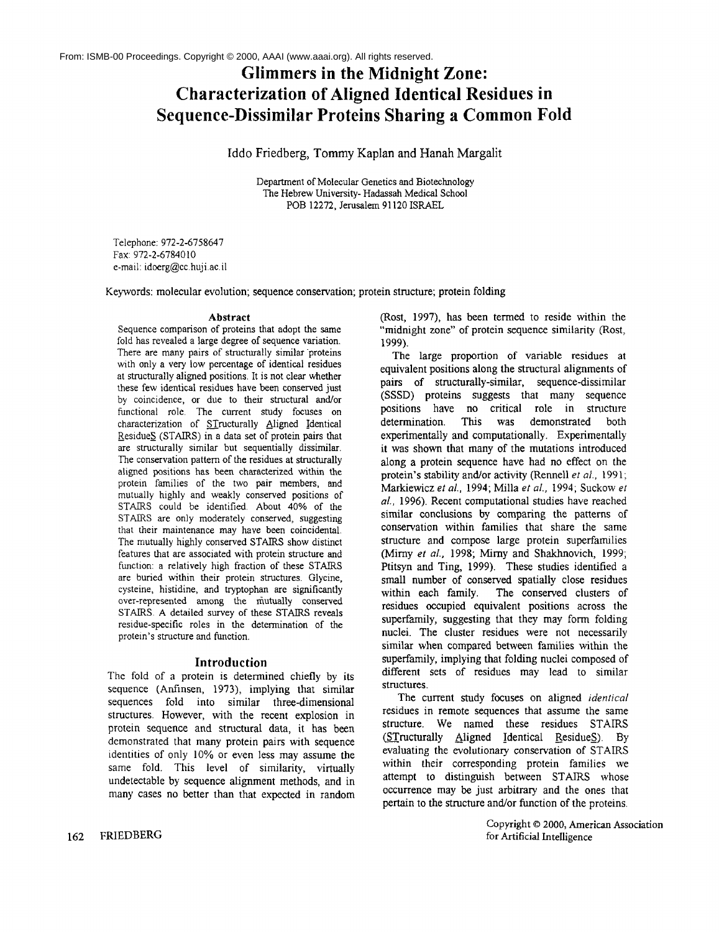# **Glimmers in the Midnight Zone: Characterization of Aligned Identical Residues in Sequence-Dissimilar Proteins Sharing a Common Fold**

# Iddo Friedberg, Tommy Kaplan and Hanah Margalit

Department of Molecular Genetics and Biotechnology The Hebrew University- Hadassah Medical School POB 12272, Jerusalem 91120 ISRAEL

Telephone: 972-2-6758647 Fax: 972-2-6784010 e-mail: idoerg@cc,hujiac.il

Keywords: molecular evolution; sequence conservation; protein structure; protein folding

#### **Abstract**

Sequence comparison of proteins that adopt the same fold has revealed a large degree of sequence variation. There are many pairs of structurally similar proteins with only a very low percentage of identical residues at structurally aligned positions. It is not clear whether these few identical residues have been conserved just by coincidence, or due to their structural and/or functional role. The current study focuses on characterization of STructurally Aligned Identical \_ResidueS (STAIRS) in a data set of protein pairs that are structurally similar but sequentially dissimilar. The conservation pattern of the residues at structurally aligned positions has been characterized within the protein families of the two pair members, and mutually highly and weakly conserved positions of STAIRS could be identified. About 40% of the STAIRS are only moderately conserved, suggesting that their maintenance may have been coincidental. The mutually highly conserved STAIRS show distinct features that are associated with protein structure and function: a relatively high fraction of these STAIRS are buried within their protein structures. Glycine, cysteine, histidine, and tryptophan are significantly over-represented among the mutually conserved STAIRS. A detailed survey of these STAIRS reveals residue-specific roles in the determination of the protein's structure and function.

#### **Introduction**

The fold of a protein is determined chiefly by its sequence (Anfinsen, 1973), implying that similar sequences fold into similar three-dimensional structures. However, with the recent explosion in protein sequence and structural data, it has been demonstrated that many protein pairs with sequence identities of only 10% or even less may assume the same fold. This level of similarity, virtually undetectable by sequence alignment methods, and in many cases no better than that expected in random (Rost, 1997), has been termed to reside within the "midnight zone" of protein sequence similarity (Rost, 1999).

The large proportion of variable residues at equivalent positions along the structural alignments of pairs of structurally-similar, sequence-dissimilar (SSSD) proteins suggests that many sequence positions have no critical role in structure determination. This was demonstrated both experimentally and computationally. Experimentally it was shown that many of the mutations introduced along a protein sequence have had no effect on the protein's stability and/or activity (Rennell *et al.*, 1991; Markiewicz *et al.,* 1994; Milla *et al.,* 1994; Suckow *et al.,* 1996). Recent computational studies have reached similar conclusions by comparing the patterns of conservation within families that share the same structure and compose large protein superfarmlies (Mirny *et aL,* 1998; Mirny and Shakhnovich, 1999; Ptitsyn and Ting, 1999). These studies identified a small number of conserved spatially close residues<br>within each family. The conserved clusters of The conserved clusters of residues occupied equivalent positions across the supeffamily, suggesting that they may form folding nuclei. The cluster residues were not necessarily similar when compared between families within the superfamily, implying that folding nuclei composed of different sets of residues may lead to similar structures.

The current study focuses on aligned *identical* residues in remote sequences that assume the same structure. We named these residues STAIRS  $(STructurally$  Aligned Identical ResidueS). By evaluating the evolutionary conservation of STAIRS within their corresponding protein families we attempt to distinguish between STAIRS whose occurrence may be just arbitrary and the ones that pertain to the structure and/or function of the proteins.

> Copyright © 2000, American **Association** for Artificial Intelligence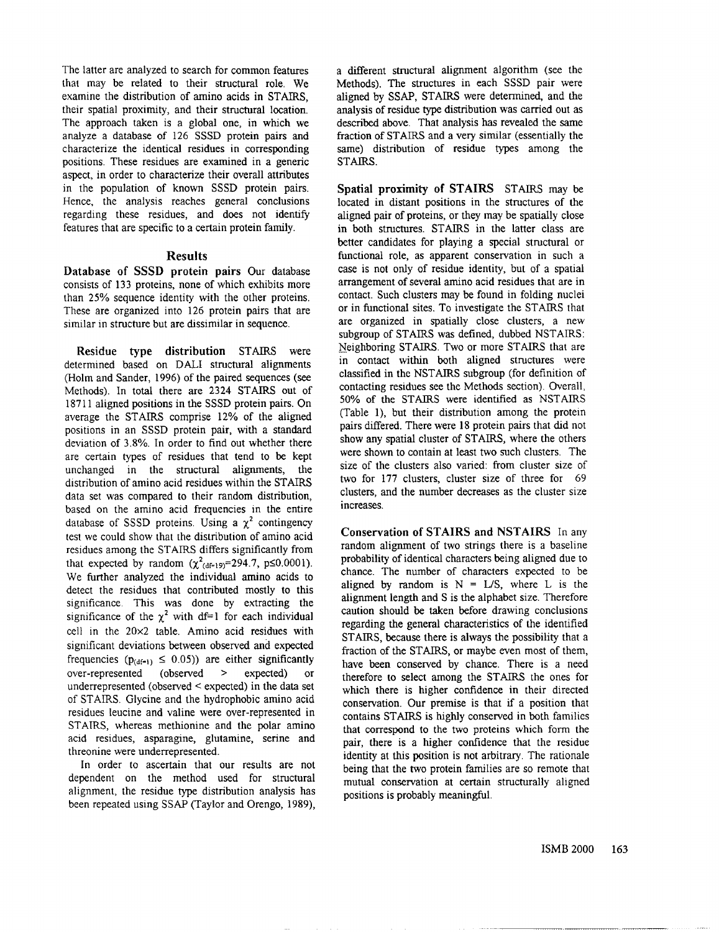The latter are analyzed to search for common features that may be related to their structural role. We examine the distribution of amino acids in STAIRS, their spatial proximity, and their structural location. The approach taken is a global one, in which we analyze a database of 126 SSSD protein pairs and characterize the identical residues in corresponding positions. These residues are examined in a generic aspect, in order to characterize their overall attributes in the population of known SSSD protein pairs. Hence, the analysis reaches general conclusions regarding these residues, and does not identify features that are specific to a certain protein family.

# **Results**

Database of SSSD protein pairs Our database consists of 133 proteins, none of which exhibits more than 25% sequence identity with the other proteins. These are organized into 126 protein pairs that are similar in structure but are dissimilar in sequence.

**Residue** type distribution STAIRS were determined based on DALI structural alignments (Holm and Sander, 1996) of the paired sequences (see Methods). In total there are 2324 STAIRS out of 18711 aligned positions in the SSSD protein pairs. On average the STAIRS comprise 12% of the aligned positions in an SSSD protein pair, with a standard deviation of 3.8%. In order to find out whether there are certain types of residues that tend to be kept unchanged in the structural alignments, the distribution of amino acid residues within the STAIRS data set was compared to their random distribution, based on the amino acid frequencies in the entire database of SSSD proteins. Using a  $\chi^2$  contingency test we could show that the distribution of amino acid residues among the STAIRS differs significantly from that expected by random  $(\chi^2_{(df=19)}=294.7, p\leq 0.0001)$ . We further analyzed the individual amino acids to detect the residues that contributed mostly to this significance. This was done by extracting the significance of the  $\chi^2$  with df=1 for each individual cell in the 20×2 table. Amino acid residues with significant deviations between observed and expected frequencies ( $p_{(df-1)} \le 0.05$ )) are either significantly over-represented (observed > expected)  $\alpha$ underrepresented (observed < expected) in the data set of STAIRS. Glycine and the hydrophobic amino acid residues leucine and valine were over-represented in STAIRS, whereas methionine and the polar amino acid residues, asparagine, glutamine, serine and threonine were underrepresented.

In order to ascertain that our results are not dependent on the method used for structural alignment, the residue type distribution analysis has been repeated using SSAP (Taylor and Orengo, 1989), a different structural alignment algorithm (see the Methods). The structures in each SSSD pair were aligned by SSAP, STAIRS were determined, and the analysis of residue type distribution was carried out as described above. That analysis has revealed the same fraction of STAIRS and a very similar (essentially the same) distribution of residue types among the STAIRS.

Spatial proximity of STAIRS STAIRS may be located in distant positions in the structures of the aligned pair of proteins, or they may be spatially close in both structures. STAIRS in the latter class are better candidates for playing a special structural or functional role, as apparent conservation in such a case is not only of residue identity, but of a spatial arrangement of several amino acid residues that are in contact. Such clusters may be found in folding nuclei or in functional sites. To investigate the STAIRS that are organized in spatially close clusters, a new subgroup of STAIRS was defined, dubbed NSTAIRS: Neighboring STAIRS. Two or more STAIRS that are in contact within both aligned structures were classified in the NSTAIRS subgroup (for definition of contacting residues see the Methods section). Overall, 50% of the STAIRS were identified as NSTAIRS (Table 1), but their distribution among the protein pairs differed. There were 18 protein pairs that did not show any spatial cluster of STAIRS, where the others were shown to contain at least two such clusters. The size of the clusters also varied: from cluster size of two for 177 clusters, cluster size of three for 69 clusters, and the number decreases as the cluster size increases.

Conservation of STAIRS and NSTAIRS In any random alignment of two strings there is a baseline probability of identical characters being aligned due to chance. The number of characters expected to be aligned by random is  $N = L/S$ , where L is the alignment length and S is the alphabet size. Therefore caution should be taken before drawing conclusions regarding the general characteristics of the identified STAIRS, because there is always the possibility that a fraction of the STAIRS, or maybe even most of them, have been conserved by chance. There is a need therefore to select among the STAIRS the ones for which there is higher confidence in their directed conservation. Our premise is that if a position that contains STAIRS is highly conserved in both families that correspond to the two proteins which form the pair, there is a higher confidence that the residue identity at this position is not arbitrary. The rationale being that the two protein families are so remote that mutual conservation at certain structurally aligned positions is probably meaningful.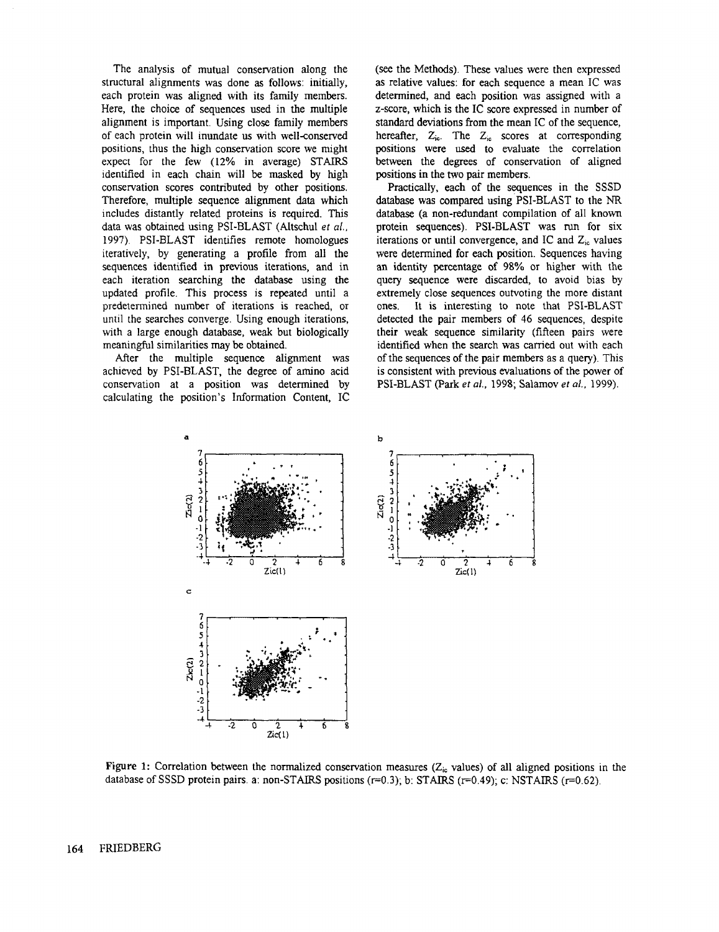The analysis of mutual conservation along the structural alignments was done as follows: initially, each protein was aligned with its family members. Here, the choice of sequences used in the multiple alignment is important. Using close family members of each protein will inundate us with well-conserved positions, thus the high conservation score we might expect for the few (12% in average) STAIRS identified in each chain will be masked by high conservation scores contributed by other positions. Therefore, multiple sequence alignment data which includes distantly related proteins is required. This data was obtained using PSI-BLAST (Altschul *et al.,* 1997). PSI-BLAST identifies remote homologues iteratively, by generating a profile from all the sequences identified in previous iterations, and in each iteration searching the database using the updated profile. This process is repeated until a predetermined number of iterations is reached, or until the searches converge. Using enough iterations, with a large enough database, weak but biologically meaningful similarities may be obtained.

After the multiple sequence alignment was achieved by PSI-BLAST, the degree of amino acid conservation at a position was determined by calculating the position's Information Content, IC (see the Methods). These values were then expressed as relative values: for each sequence a mean IC was determined, and each position was assigned with a z-score, which is the IC score expressed in number of standard deviations from the mean IC of the sequence, hereafter,  $Z_{ic}$ . The  $Z_{ic}$  scores at corresponding positions were used to evaluate the correlation between the degrees of conservation of aligned positions in the two pair members.

Practically, each of the sequences in the SSSD database was compared using PSI-BLAST to the NR database (a non-redundant compilation of all known protein sequences). PSI-BLAST was run for six iterations or until convergence, and IC and  $Z_{i\text{c}}$  values were determined for each position. Sequences having an identity percentage of 98% or higher with the query sequence were discarded, to avoid bias by extremely close sequences outvoting the more distant ones. It is interesting to note that PSI-BLAST detected the pair members of 46 sequences, despite their weak sequence similarity (fifteen pairs were identified when the search was carried out with each of the sequences of the pair members as a query). This is consistent with previous evaluations of the power of PSI-BLAST (Park *et al.,* 1998; Salamov *et al.,* 1999).



Figure 1: Correlation between the normalized conservation measures ( $Z_{\text{in}}$  values) of all aligned positions in the database of SSSD protein pairs, a: non-STAIRS positions (r=0.3); b: STAIRS (r=0.49); c: NSTAIRS (r=0.62).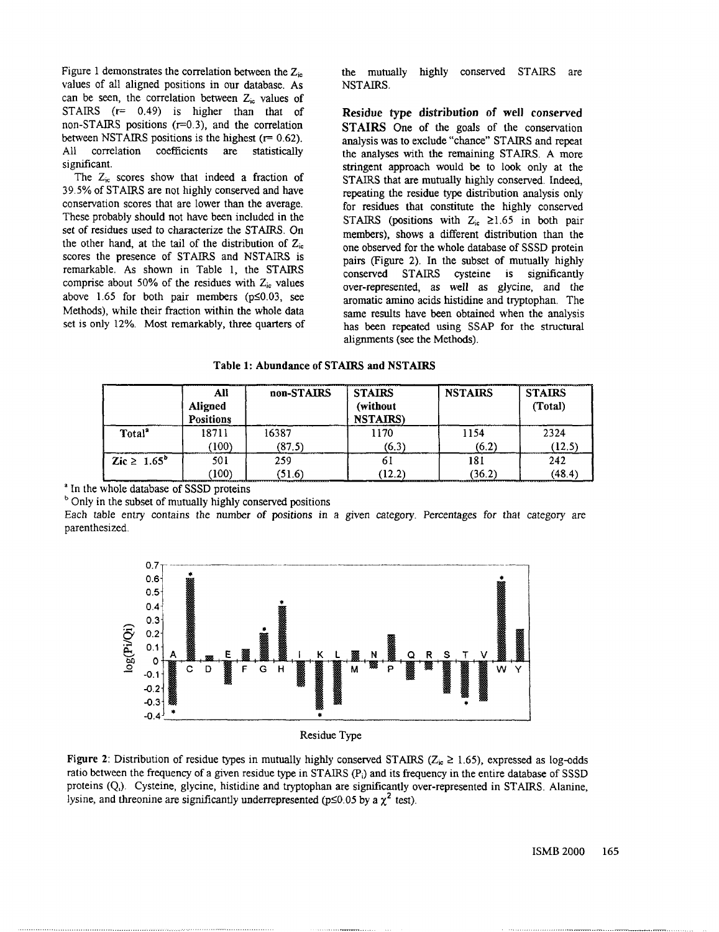Figure 1 demonstrates the correlation between the  $Z_{\text{in}}$ values of all aligned positions in our database. As can be seen, the correlation between  $Z_{ic}$  values of STAIRS  $(r= 0.49)$  is higher than that of non-STAIRS positions  $(r=0.3)$ , and the correlation between NSTAIRS positions is the highest  $(r= 0.62)$ . All correlation coefficients are statistically significant.

The  $Z_{ic}$  scores show that indeed a fraction of 39.5% of STAIRS are not highly conserved and have conservation scores that are lower than the average. These probably should not have been included in the set of residues used to characterize the STAIRS. On the other hand, at the tail of the distribution of  $Z_{ic}$ scores the presence of STAIRS and NSTAIRS is remarkable. As shown in Table 1, the STAIRS comprise about 50% of the residues with  $Z_{ic}$  values above 1.65 for both pair members ( $p \le 0.03$ , see Methods), while their fraction within the whole data set is only 12%. Most remarkably, three quarters of

the mutually highly conserved STAIRS are NSTAIRS.

**Residue type distribution** of well **conserved** STAIRS One of the goals of the conservation analysis was to exclude "chance" STAIRS and repeat the analyses with the remaining STAIRS. A more stringent approach would be to look only at the STAIRS that are mutually highly conserved. Indeed, repeating the residue type distribution analysis only for residues that constitute the highly conserved STAIRS (positions with  $Z_i \ge 1.65$  in both pair members), shows a different distribution than the one observed for the whole database of SSSD protein pairs (Figure 2). In the subset of mutually highly conserved STAIRS cysteine is significantly over-represented, as well as glycine, and the aromatic amino acids histidine and tryptophan. The same results have been obtained when the analysis has been repeated using SSAP for the structural alignments (see the Methods).

#### **Table 1: Abundance of STAIRS and NSTAIRS**

|                    | All              | non-STAIRS | <b>STAIRS</b>    | <b>NSTAIRS</b> | <b>STAIRS</b> |
|--------------------|------------------|------------|------------------|----------------|---------------|
|                    | Aligned          |            | (without         |                | (Total)       |
|                    | <b>Positions</b> |            | <b>NSTAIRS</b> ) |                |               |
| Total <sup>2</sup> | 18711            | 16387      | 1170             | 1154           | 2324          |
|                    | (100)            | (87.5)     | (6.3)            | (6.2)          | (12.5)        |
| Zic $\geq 1.65^b$  | 501              | 259        | ОJ               | 181            | 242           |
|                    | 100)             | (51.6)     | (12.2)           | (36.2)         | (48.4)        |

<sup>a</sup> In the whole database of SSSD proteins

<sup>b</sup> Only in the subset of mutually highly conserved positions

Each table entry contains the number of positions in a given category. Percentages for that category are parenthesized.



Residue Type

Figure 2: Distribution of residue types in mutually highly conserved STAIRS ( $Z_{\text{ir}} \ge 1.65$ ), expressed as log-odds ratio between the frequency of a given residue type in STAIRS  $(P<sub>i</sub>)$  and its frequency in the entire database of SSSD proteins (Q,). Cysteine, glycine, histidine and tryptophan are significantly over-represented in STAIRS. Alanine, lysine, and threonine are significantly underrepresented ( $p \le 0.05$  by a  $\chi^2$  test).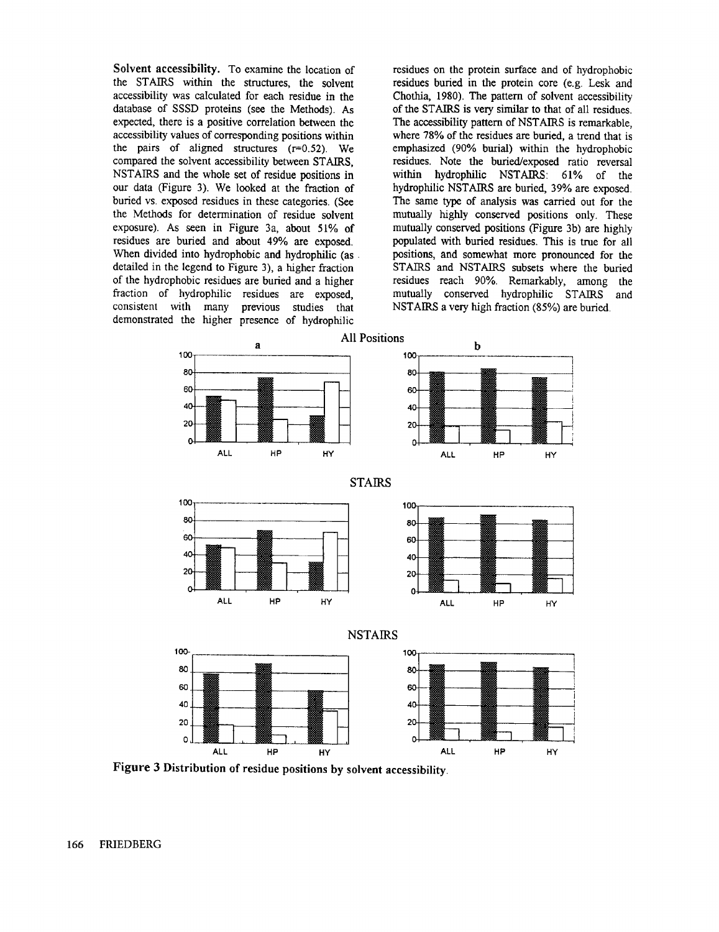Solvent accessibility. To examine the location of the STAIRS within the structures, the solvent accessibility was calculated for each residue in the database of SSSD proteins (see the Methods). expected, there is a positive correlation between the accessibility values of corresponding positions within the pairs of aligned structures  $(r=0.52)$ . We compared the solvent accessibility between STAIRS, NSTAIRS and the whole set of residue positions in our data (Figure 3). We looked at the fraction buried vs. exposed residues in these categories. (See the Methods for determination of residue solvent exposure). As seen in Figure 3a, about 51% of residues are buried and about 49% are exposed. When divided into hydrophobic and hydrophilic (as . detailed in the legend to Figure 3), a higher fraction of the hydrophobic residues are buried and a higher fraction of hydrophilic residues are exposed, consistent with many previous studies that demonstrated the higher presence of hydrophilic

residues on the protein surface and of hydrophobic residues buried in the protein core (e.g. Lesk and Chothia, 1980). The pattern of solvent accessibility of the STAIRS is very similar to that of all residues. The accessibility pattern of NSTAIRS is remarkable, where 78% of the residues are buried, a trend that is emphasized (90% burial) within the hydrophobic residues. Note the buried/exposed ratio reversal within hydrophilic NSTAIRS: 61% of the hydrophilic NSTAIRS are buried, 39% are exposed. The same type of analysis was carried out for the mutually highly conserved positions only. These mutually conserved positions (Figure 3b) are highly populated with buried residues. This is true for all positions, and somewhat more pronounced for the STAIRS and NSTAIRS subsets where the buried residues reach 90%. Remarkably, among the mutually conserved hydrophilic STAIRS and NSTAIRS a very high fraction (85%) are buried.



**Figure 3 Distribution of residue positions by solvent accessibility.**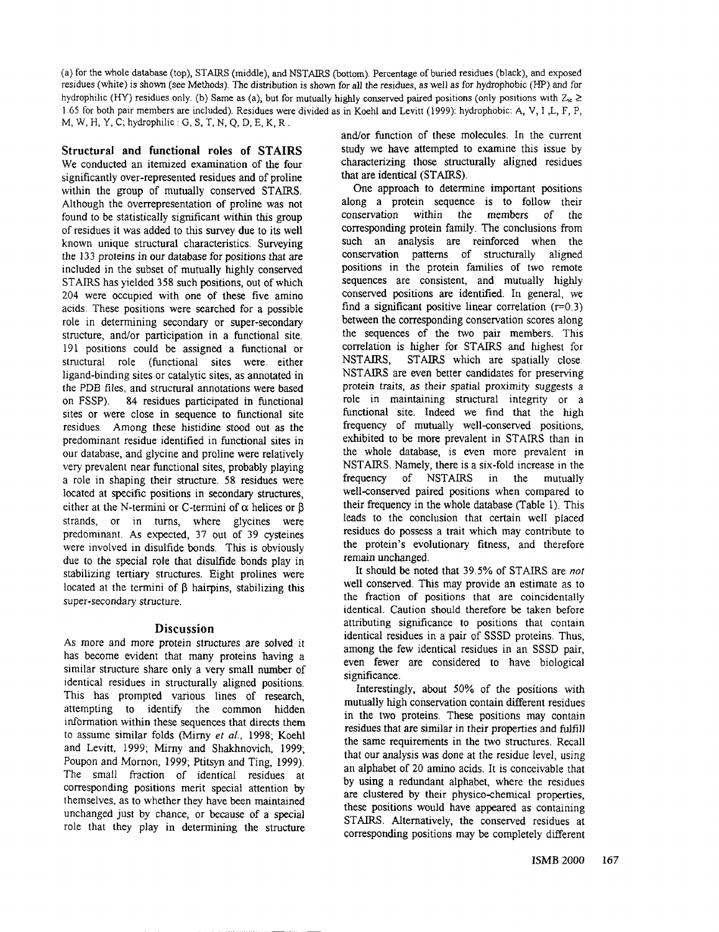(a) for the whole database (top), STAIRS (middle), and NSTAIRS (bottom). Percentage of buried residues (black), and residues (white) is shown (see Methods). The distribution is shown for all the residues, as well as for hydrophobic (HP) and for hydrophilic (HY) residues only. (b) Same as (a), but for mutually highly conserved paired positions (only positions with  $Z_i \ge$ 1.65 for both pair members are included). Residues were divided as in Koehl and Levitt (1999): hydrophobic: A, V, I ,L, F, M, W, H, Y, C; hydrophilic : G, S, T. N, Q, D, E, K, R.

Structural and functional **roles of** STAIRS We conducted an itemized examination of the four significantly over-represented residues and of proline within the group of mutually conserved STAIRS. Although the overrepresentation of proline was not found to be statistically significant within this group of residues it was added to this survey due to its well known unique structural characteristics. Surveying the 133 proteins in our database for positions that are included in the subset of mutually highly conserved STAIRS has yielded 358 such positions, out of which 204 were occupied with one of these five amino acids. These positions were searched for a possible role in determining secondary or super-secondary structure, and/or participation in a functional site. 191 positions could be assigned a functional or structural role (functional sites were. either ligand-binding sites or catalytic sites, as annotated in the PDB files, and structural annotations were based on FSSP). 84 residues participated in functional sites or were close in sequence to functional site residues. Among these histidine stood out as the predominant residue identified in functional sites in our database, and glycine and proline were relatively very prevalent near functional sites, probably playing a role in shaping their structure. 58 residues were located at specific positions in secondary structures, either at the N-termini or C-termini of  $\alpha$  helices or  $\beta$ strands, or in turns, where glycines were predominant. As expected, 37 out of 39 cysteines were involved in disulfide bonds. This is obviously due to the special role that disulfide bonds play in stabilizing tertiary structures. Eight prolines were located at the termini of  $\beta$  hairpins, stabilizing this super-secondary structure.

#### **Discussion**

As more and more protein structures are solved it has become evident that many proteins having a similar structure share only a very small number of identical residues in structurally aligned positions. This has prompted various lines of research, attempting to identify the common hidden information within these sequences that directs them to assume similar folds (Mirny *et al.,* 1998; Koehl and Levitt, 1999; Mirny and Shakhnovich, 1999; Poupon and Mornon, 1999; Ptitsyn and Ting, 1999). The small fraction of identical residues at corresponding positions merit special attention by themselves, as to whether they have been maintained unchanged just by chance, or because of a special role that they play in determining the structure

and/or function of these molecules. In the current study we have attempted to examine this issue by characterizing those structurally aligned residues that are identical (STAIRS).

One approach to determine important positions along a protein sequence is to follow their conservation within the members of the corresponding protein family. The conclusions from such an analysis are reinforced when the conservation patterns of structurally aligned positions in the protein families of two remote sequences are consistent, and mutually highly conserved positions are identified. In general, we find a significant positive linear correlation  $(r=0.3)$ between the corresponding conservation scores along the sequences of the two pair members. This correlation is higher for STAIRS and highest for NSTAIRS, STAIRS which are spatially close NSTAIRS are even better candidates for preserving protein traits, as their spatial proximity suggests a role in maintaining structural integrity or a functional site. Indeed we find that the high frequency of mutually well-conserved positions, exhibited to be more prevalent in STAIRS than in the whole database, is even more prevalent in NSTAIRS. Namely, there is a six-fold increase in the frequency of NSTAIRS in the mutually well-conserved paired positions when compared to their frequency in the whole database (Table I). This leads to the conclusion that certain well placed residues do possess a trait which may contribute to the protein's evolutionary fitness, and therefore remain unchanged.

It should be noted that 39.5% of STAIRS are *not* well conserved. This may provide an estimate as to the fraction of positions that are coincidentally identical. Caution should therefore be taken before attributing significance to positions that contain identical residues in a pair of SSSD proteins. Thus, among the few identical residues in an SSSD pair, even fewer are considered to have biological significance.

Interestingly, about 50% of the positions with mutually high conservation contain different residues in the two proteins. These positions may contain residues that are similar in their properties and fulfill the same requirements in the two structures. Recall that our analysis was done at the residue level, using an alphabet of 20 amino acids. It is conceivable that by using a redundant alphabet, where the residues are clustered by their physico-chemical properties, these positions would have appeared as containing STAIRS. Alternatively, the conserved residues at corresponding positions may be completely different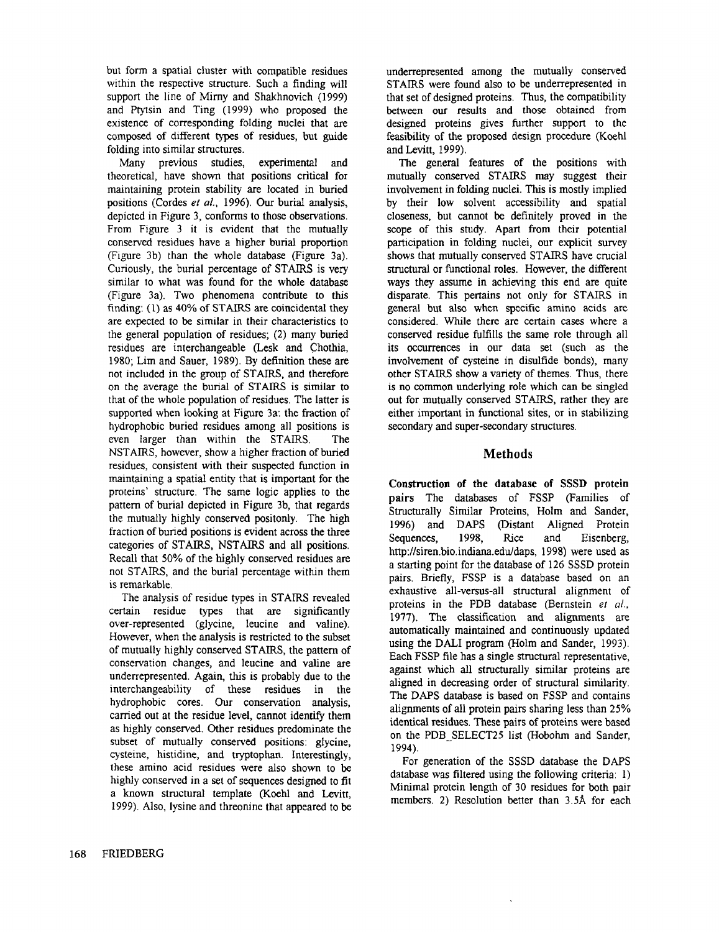but form a spatial cluster with compatible residues within the respective structure. Such a finding will support the line of Mirny and Shakhnovich (1999) and Ptytsin and Ting (1999) who proposed the existence of corresponding folding nuclei that are composed of different types of residues, but guide folding into similar structures.

Many previous studies, experimental and theoretical, have shown that positions critical for maintaining protein stability are located in buried positions (Cordes *et aL,* 1996). Our burial analysis, depicted in Figure 3, conforms to those observations. From Figure 3 it is evident that the mutually conserved residues have a higher burial proportion (Figure 3b) than the whole database (Figure 3a). Curiously, the burial percentage of STAIRS is very similar to what was found for the whole database (Figure 3a). Two phenomena contribute to this finding: (1) as 40% of STAIRS are coincidental they are expected to be similar in their characteristics to the general population of residues; (2) many buried residues are interchangeable (Lesk and Chothia, 1980; Lim and Sauer, 1989). By definition these are not included in the group of STAIRS, and therefore on the average the burial of STAIRS is similar to that of the whole population of residues. The latter is supported when looking at Figure 3a: the fraction of hydrophobic buried residues among all positions is even larger than within the STAIRS. The NSTAIRS, however, show a higher fraction of buried residues, consistent with their suspected function in maintaining a spatial entity that is important for the proteins' structure. The same logic applies to the pattern of burial depicted in Figure 3b, that regards the mutually highly conserved positonly. The high fraction of buried positions is evident across the three categories of STAIRS, NSTAIRS and all positions. Recall that 50% of the highly conserved residues are not STAIRS, and the burial percentage within them is remarkable.

The analysis of residue types in STAIRS revealed certain residue types that are significantly over-represented (glycine, leucine and valine). However, when the analysis is restricted to the subset of mutually highly conserved STAIRS, the pattern of conservation changes, and leucine and valine are underrepresented. Again, this is probably due to the interchangeability of these residues in the hydrophobic cores. Our conservation analysis, carried out at the residue level, cannot identify them as highly conserved. Other residues predominate the subset of mutually conserved positions: glycine, cysteine, histidine, and tryptophan. Interestingly, these amino acid residues were also shown to be highly conserved in a set of sequences designed to fit a known structural template (Koehl and Levitt, 1999). Also, lysine and threonine that appeared to be underrepresented among the mutually conserved STAIRS were found also to be underrepresented in that set of designed proteins. Thus, the compatibility between our results and those obtained from designed proteins gives further support to the feasibility of the proposed design procedure (Kochl and Levitt, 1999).

The general features of the positions with mutually conserved STAIRS may suggest their involvement in folding nuclei. This is mostly implied by their low solvent accessibility and spatial closeness, but cannot be definitely proved in the scope of this study. Apart from their potential participation in folding nuclei, our explicit survey shows that mutually conserved STAIRS have crucial structural or functional roles. However, the different ways they assume in achieving this end are quite disparate. This pertains not only for STAIRS in general but also when specific amino acids are considered. While there are certain eases where a conserved residue fulfills the same role through all its occurrences in our data set (such as the involvement of cysteine in disulfide bonds), many other STAIRS show a variety of themes. Thus, there is no common underlying role which can be singled out for mutually conserved STAIRS, rather they are either important in functional sites, or in stabilizing secondary and super-secondary structures.

# **Methods**

Construction of the database of SSSD **protein** pairs The databases of FSSP (Families of Structurally Similar Proteins, Holm and Sander, 1996) and DAPS (Distant Aligned Protein Sequences, 1998, Rice and Eisenberg, http://siren.bio.indiana.edu/daps, 1998) were used as a starting point for the database of 126 SSSD protein pairs. Briefly, FSSP is a database based on an exhaustive all-versus-all structural alignment of proteins in the PDB database (Bernstein *et al.,* 1977). The classification and alignments are automatically maintained and continuously updated using the DALI program (Holm and Sander, 1993). Each FSSP file has a single structural representative, against which all structurally similar proteins are aligned in decreasing order of structural similarity. The DAPS database is based on FSSP and contains alignments of all protein pairs sharing less than 25% identical residues. These pairs of proteins were based on the PDB SELECT25 list (Hobohm and Sander, 1994).

For generation of the SSSD database the DAPS database was filtered using the following criteria: 1) Minimal protein length of 30 residues for both pair members. 2) Resolution better than 3.5Å for each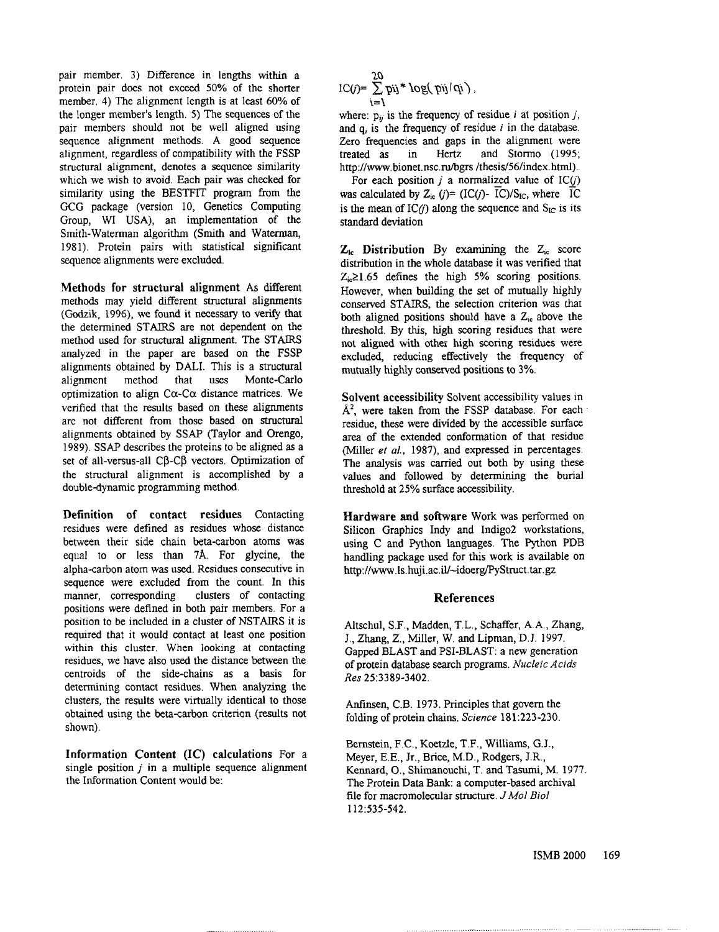pair member. 3) Difference in lengths within a protein pair does not exceed 50% of the shorter member. 4) The alignment length is at least 60% of the longer member's length. 5) The sequences of the pair members should not be well aligned using sequence alignment methods. A good sequence alignment, regardless of compatibility with the FSSP structural alignment, denotes a sequence similarity which we wish to avoid. Each pair was checked for similarity using the BESTFIT program from the GCG package (version 10, Genetics Computing Group, WI USA), an implementation of the Smith-Waterman algorithm (Smith and Waterman, 1981). Protein pairs with statistical significant sequence alignments were excluded.

Methods for structural alignment As different methods may yield different structural alignments (Godzik, 1996), we found it necessary to verify that the determined STAIRS are not dependent on the method used for structural alignment. The STAIRS analyzed in the paper are based on the FSSP alignments obtained by DALI. This is a structural alignment method that uses Monte-Carlo optimization to align  $C\alpha$ -C $\alpha$  distance matrices. We verified that the results based on these alignments are not different from those based on structural alignments obtained by SSAP (Taylor and Orengo, 1989). SSAP describes the proteins to be aligned as a set of all-versus-all CB-CB vectors. Optimization of the structural alignment is accomplished by a double-dynamic programming method.

Definition of contact residues Contacting residues were defined as residues whose distance between their side chain beta-carbon atoms was equal to or less than 7A. For glycine, the alpha-carbon atom was used. Residues consecutive in sequence were excluded from the count. In this manner, corresponding clusters of contacting positions were defined in both pair members. For a position to be included in a cluster of NSTAIRS it is required that it would contact at least one position within this cluster. When looking at contacting residues, we have also used the distance between the centroids of the side-chains as a basis for determining contact residues. When analyzing the clusters, the results were virtually identical to those obtained using the beta-carbon criterion (results not shown).

Information Content (IC) calculations For single position  $j$  in a multiple sequence alignment the Information Content would be:

$$
IC(j)=\sum_{i=1}^{20}pi^{i} * log(pij/qi),
$$

where:  $p_{ij}$  is the frequency of residue i at position j, and  $q_i$  is the frequency of residue i in the database. Zero frequencies and gaps in the alignment were treated as in Hertz and Stormo (1995; http://www.bionet.nsc.ru/bgrs/thesis/56/index.html)..

For each position j a normalized value of  $IC(j)$ was calculated by  $Z_{ic}$  ( $i$ )= (IC( $i$ )- IC)/S<sub>IC</sub>, where IC is the mean of  $IC(i)$  along the sequence and  $S_{IC}$  is its standard deviation

 $Z_{ic}$  Distribution By examining the  $Z_{ic}$  score distribution in the whole database it was verified that  $Z_i \geq 1.65$  defines the high 5% scoring positions. However, when building the set of mutually highly conserved STAIRS, the selection criterion was that both aligned positions should have a  $Z_{\text{ic}}$  above the threshold. By this, high scoring residues that were not aligned with other high scoring residues were excluded, reducing effectively the frequency of mutually highly conserved positions to 3%.

Solvent accessibility Solvent accessibility values in  $\AA^2$ , were taken from the FSSP database. For each residue, these were divided by the accessible surface area of the extended conformation of that residue (Miller *et al.,* 1987), and expressed in percentages. The analysis was carried out both by using these values and followed by determining the burial threshold at 25% surface accessibility.

Hardware and software Work was performed on Silicon Graphics Indy and Indigo2 workstations, using C and Python languages. The Python PDB handling package used for this work is available on http://www.ls.huji.ac.il/-idoerg/PyStruct.tar.gz

#### **References**

Altschul, S.F., Madden, T.L., Schaffer, A.A., Zhang, J., Zhang, Z., Miller, W. and Lipman, D.J. 1997. Gapped BLAST and PSI-BLAST: a new generation of protein database search programs. *Nucleic Acids Res* 25:3389-3402.

Anfinsen, C.B. 1973. Principles that govern the folding of protein chains. *Science* 181:223-230.

Bernstein, F.C., Koetzle, T.F., Williams, G.J., Meyer, E.E., Jr., Brice, M.D., Rodgers, J.R., Kennard, O., Shimanouchi, T. and Tasumi, M. 1977. The Protein Data Bank: a computer-based archival file for macromolecular structure. *JMol Biol* **112:535-542.**